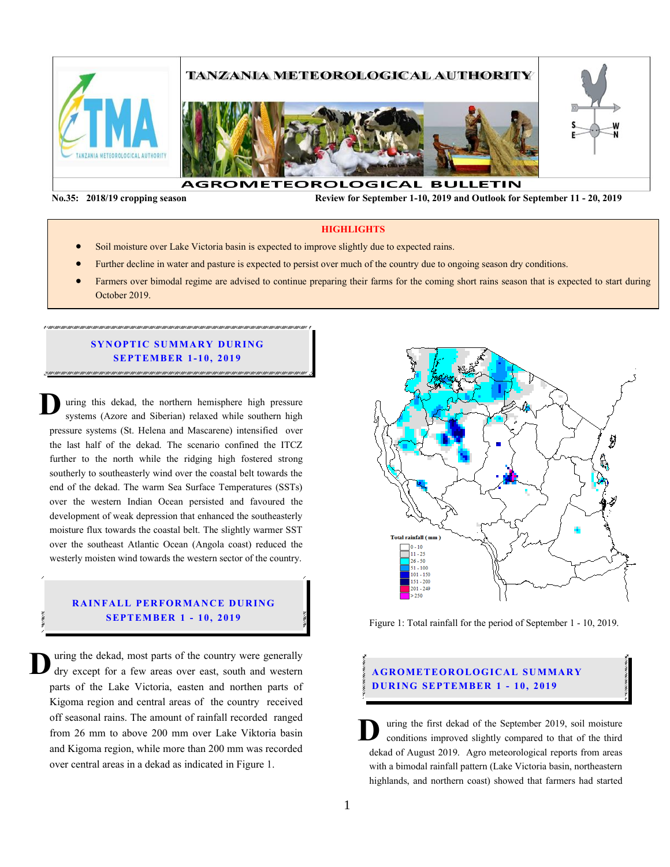

**No.35: 2018/19 cropping season Review for September 1-10, 2019 and Outlook for September 11 - 20, 2019** 

**HIGHLIGHTS**

- Soil moisture over Lake Victoria basin is expected to improve slightly due to expected rains.
- Further decline in water and pasture is expected to persist over much of the country due to ongoing season dry conditions.
- Farmers over bimodal regime are advised to continue preparing their farms for the coming short rains season that is expected to start during October 2019.

#### **SYNOPTIC SUMMARY DURING SEPT EMBER 1- 10 , 201 9**

uring this dekad, the northern hemisphere high pressure systems (Azore and Siberian) relaxed while southern high pressure systems (St. Helena and Mascarene) intensified over the last half of the dekad. The scenario confined the ITCZ further to the north while the ridging high fostered strong southerly to southeasterly wind over the coastal belt towards the end of the dekad. The warm Sea Surface Temperatures (SSTs) over the western Indian Ocean persisted and favoured the development of weak depression that enhanced the southeasterly moisture flux towards the coastal belt. The slightly warmer SST over the southeast Atlantic Ocean (Angola coast) reduced the westerly moisten wind towards the western sector of the country. **D**

## **RAINFALL PERFORMANCE DURING SEPT EMBER 1 - 10 , 2019**

uring the dekad, most parts of the country were generally dry except for a few areas over east, south and western parts of the Lake Victoria, easten and northen parts of Kigoma region and central areas of the country received off seasonal rains. The amount of rainfall recorded ranged from 26 mm to above 200 mm over Lake Viktoria basin and Kigoma region, while more than 200 mm was recorded over central areas in a dekad as indicated in Figure 1. **D**



Figure 1: Total rainfall for the period of September 1 - 10, 2019.

# **AGROMETEOROLOGICAL SUMMARY D UR ING SEPTEMBER 1 - 10, 2019**

uring the first dekad of the September 2019, soil moisture conditions improved slightly compared to that of the third dekad of August 2019. Agro meteorological reports from areas with a bimodal rainfall pattern (Lake Victoria basin, northeastern highlands, and northern coast) showed that farmers had started **D**